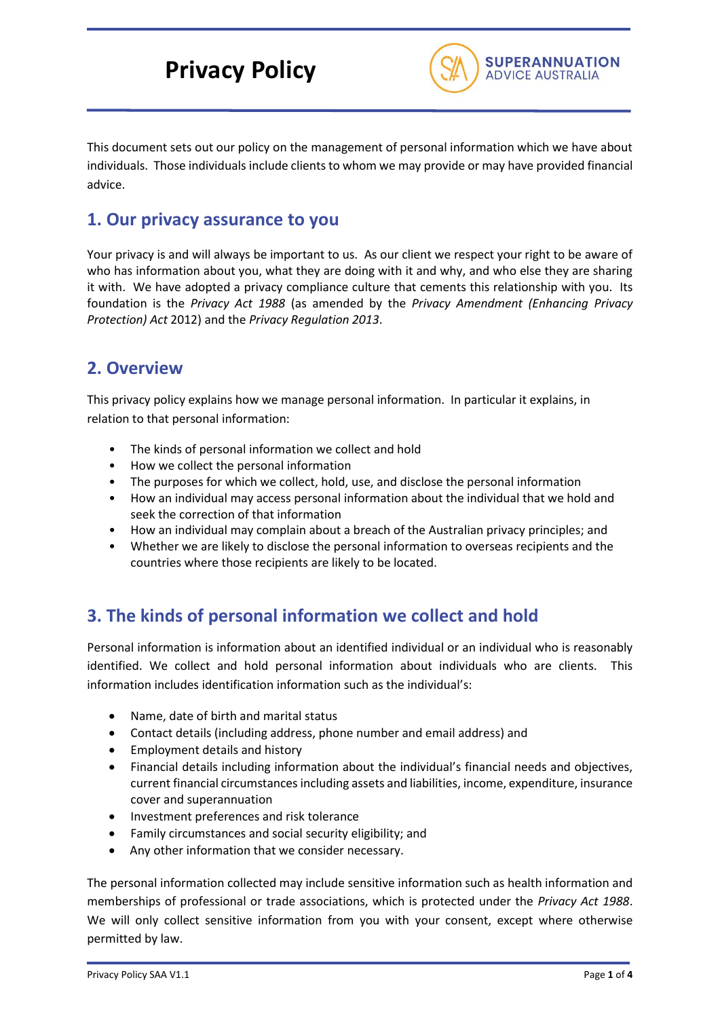# **Privacy Policy**



This document sets out our policy on the management of personal information which we have about individuals. Those individuals include clients to whom we may provide or may have provided financial advice.

## **1. Our privacy assurance to you**

Your privacy is and will always be important to us. As our client we respect your right to be aware of who has information about you, what they are doing with it and why, and who else they are sharing it with. We have adopted a privacy compliance culture that cements this relationship with you. Its foundation is the *Privacy Act 1988* (as amended by the *Privacy Amendment (Enhancing Privacy Protection) Act* 2012) and the *Privacy Regulation 2013*.

## **2. Overview**

This privacy policy explains how we manage personal information. In particular it explains, in relation to that personal information:

- The kinds of personal information we collect and hold
- How we collect the personal information
- The purposes for which we collect, hold, use, and disclose the personal information
- How an individual may access personal information about the individual that we hold and seek the correction of that information
- How an individual may complain about a breach of the Australian privacy principles; and
- Whether we are likely to disclose the personal information to overseas recipients and the countries where those recipients are likely to be located.

## **3. The kinds of personal information we collect and hold**

Personal information is information about an identified individual or an individual who is reasonably identified. We collect and hold personal information about individuals who are clients. This information includes identification information such as the individual's:

- Name, date of birth and marital status
- Contact details (including address, phone number and email address) and
- Employment details and history
- Financial details including information about the individual's financial needs and objectives, current financial circumstances including assets and liabilities, income, expenditure, insurance cover and superannuation
- Investment preferences and risk tolerance
- Family circumstances and social security eligibility; and
- Any other information that we consider necessary.

The personal information collected may include sensitive information such as health information and memberships of professional or trade associations, which is protected under the *Privacy Act 1988*. We will only collect sensitive information from you with your consent, except where otherwise permitted by law.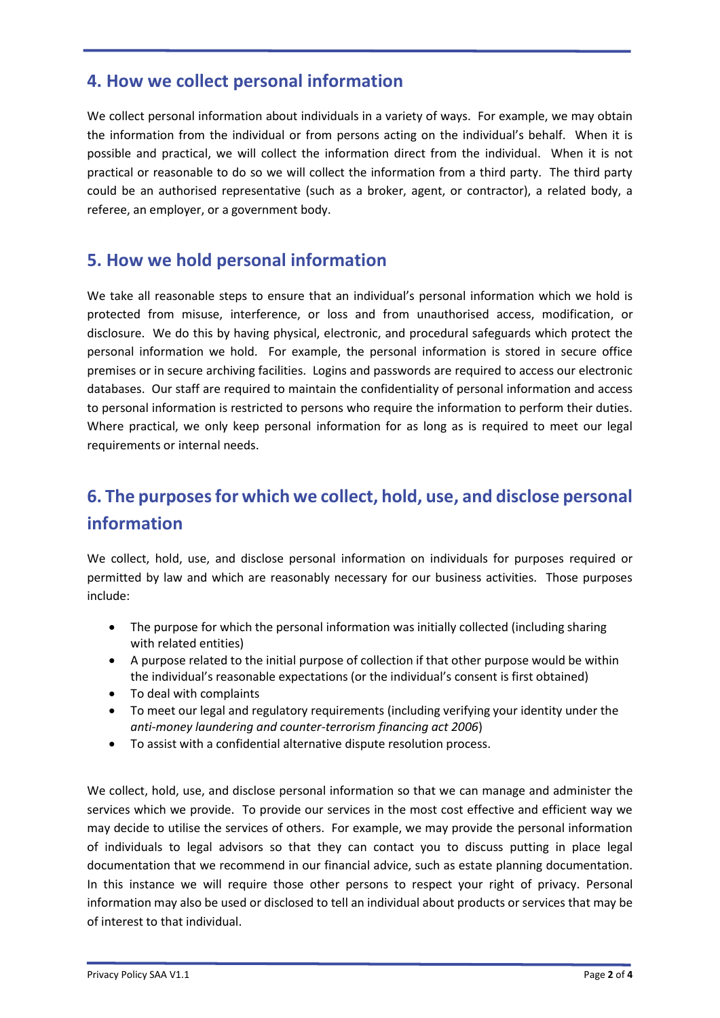## **4. How we collect personal information**

We collect personal information about individuals in a variety of ways. For example, we may obtain the information from the individual or from persons acting on the individual's behalf. When it is possible and practical, we will collect the information direct from the individual. When it is not practical or reasonable to do so we will collect the information from a third party. The third party could be an authorised representative (such as a broker, agent, or contractor), a related body, a referee, an employer, or a government body.

## **5. How we hold personal information**

We take all reasonable steps to ensure that an individual's personal information which we hold is protected from misuse, interference, or loss and from unauthorised access, modification, or disclosure. We do this by having physical, electronic, and procedural safeguards which protect the personal information we hold. For example, the personal information is stored in secure office premises or in secure archiving facilities. Logins and passwords are required to access our electronic databases. Our staff are required to maintain the confidentiality of personal information and access to personal information is restricted to persons who require the information to perform their duties. Where practical, we only keep personal information for as long as is required to meet our legal requirements or internal needs.

## **6. The purposes for which we collect, hold, use, and disclose personal information**

We collect, hold, use, and disclose personal information on individuals for purposes required or permitted by law and which are reasonably necessary for our business activities. Those purposes include:

- The purpose for which the personal information was initially collected (including sharing with related entities)
- A purpose related to the initial purpose of collection if that other purpose would be within the individual's reasonable expectations (or the individual's consent is first obtained)
- To deal with complaints
- To meet our legal and regulatory requirements (including verifying your identity under the *anti-money laundering and counter-terrorism financing act 2006*)
- To assist with a confidential alternative dispute resolution process.

We collect, hold, use, and disclose personal information so that we can manage and administer the services which we provide. To provide our services in the most cost effective and efficient way we may decide to utilise the services of others. For example, we may provide the personal information of individuals to legal advisors so that they can contact you to discuss putting in place legal documentation that we recommend in our financial advice, such as estate planning documentation. In this instance we will require those other persons to respect your right of privacy. Personal information may also be used or disclosed to tell an individual about products or services that may be of interest to that individual.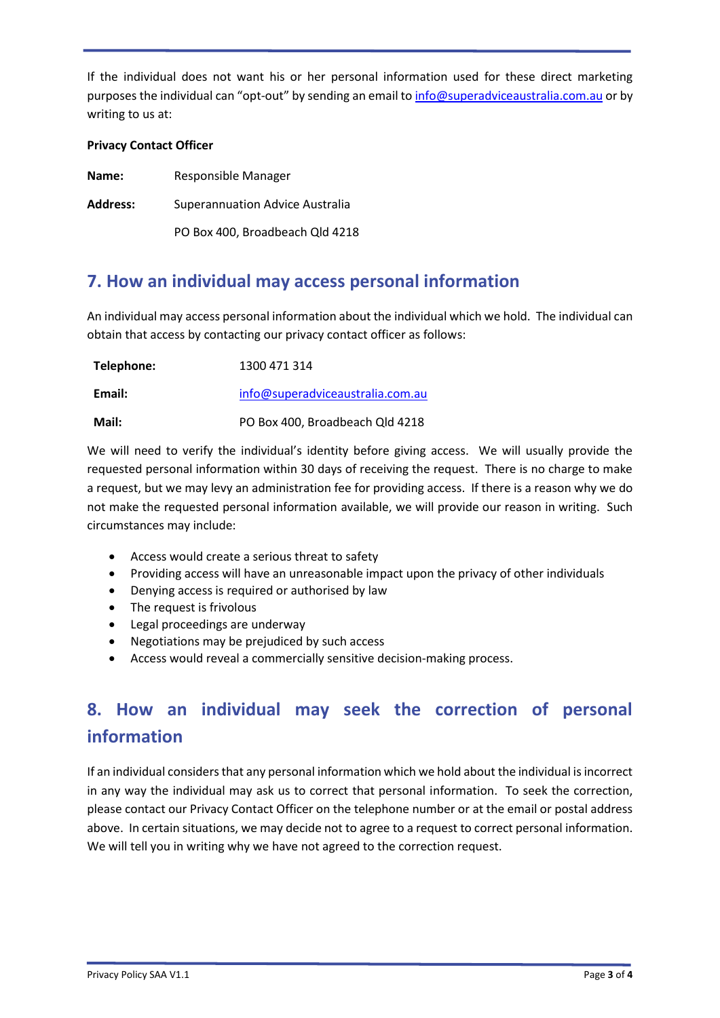If the individual does not want his or her personal information used for these direct marketing purposes the individual can "opt-out" by sending an email to [info@superadviceaustralia.com.au](mailto:info@superadviceaustralia.com.au) or by writing to us at:

#### **Privacy Contact Officer**

| Name:           | Responsible Manager             |
|-----------------|---------------------------------|
| <b>Address:</b> | Superannuation Advice Australia |
|                 | PO Box 400, Broadbeach Qld 4218 |

## **7. How an individual may access personal information**

An individual may access personal information about the individual which we hold. The individual can obtain that access by contacting our privacy contact officer as follows:

| Telephone: | 1300 471 314                     |
|------------|----------------------------------|
| Email:     | info@superadviceaustralia.com.au |
| Mail:      | PO Box 400, Broadbeach Qld 4218  |

We will need to verify the individual's identity before giving access. We will usually provide the requested personal information within 30 days of receiving the request. There is no charge to make a request, but we may levy an administration fee for providing access. If there is a reason why we do not make the requested personal information available, we will provide our reason in writing. Such circumstances may include:

- Access would create a serious threat to safety
- Providing access will have an unreasonable impact upon the privacy of other individuals
- Denying access is required or authorised by law
- The request is frivolous
- Legal proceedings are underway
- Negotiations may be prejudiced by such access
- Access would reveal a commercially sensitive decision-making process.

## **8. How an individual may seek the correction of personal information**

If an individual considers that any personal information which we hold about the individual is incorrect in any way the individual may ask us to correct that personal information. To seek the correction, please contact our Privacy Contact Officer on the telephone number or at the email or postal address above. In certain situations, we may decide not to agree to a request to correct personal information. We will tell you in writing why we have not agreed to the correction request.